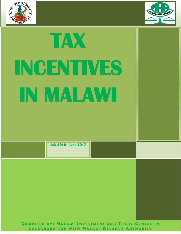



# **TAX INCENTIVES IN MALAWI**

| <b>July 2016 - June 2017</b> |
|------------------------------|
|                              |

**COMPILED BY: MALAWI INVESTMENT AND TRADE CENTRE IN C O L L A B O R A T I O N W I T H M A L A W I R E V E N U E A U T H O R I T Y**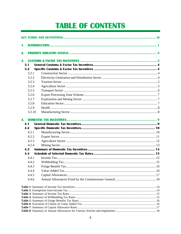# **TABLE OF CONTENTS**

| 1.  |                |                    |  |  |  |  |
|-----|----------------|--------------------|--|--|--|--|
| 2.  |                |                    |  |  |  |  |
| 3.  |                |                    |  |  |  |  |
| 3.1 |                |                    |  |  |  |  |
| 3.2 |                |                    |  |  |  |  |
|     | 3.2.1          |                    |  |  |  |  |
|     | 3.2.2          |                    |  |  |  |  |
|     | 3.2.3          |                    |  |  |  |  |
|     | 3.2.4          |                    |  |  |  |  |
|     | 3.2.5          |                    |  |  |  |  |
|     | 3.2.6          |                    |  |  |  |  |
|     | 3.2.7          |                    |  |  |  |  |
|     | 3.2.8          |                    |  |  |  |  |
|     | 3.2.9          |                    |  |  |  |  |
|     | 3.2.10         |                    |  |  |  |  |
| 4.  |                |                    |  |  |  |  |
| 4.1 |                |                    |  |  |  |  |
| 4.2 |                |                    |  |  |  |  |
|     | 4.2.1          |                    |  |  |  |  |
|     | 4.2.2          |                    |  |  |  |  |
|     | 4.2.3          |                    |  |  |  |  |
|     | 4.2.4          |                    |  |  |  |  |
| 4.3 |                |                    |  |  |  |  |
| 4.4 |                |                    |  |  |  |  |
|     | 4.4.1          |                    |  |  |  |  |
|     | 4.4.2          |                    |  |  |  |  |
|     | 443            | Fringe Benefit Tax |  |  |  |  |
|     |                |                    |  |  |  |  |
|     | 4.4.4          |                    |  |  |  |  |
|     | 4.4.5<br>4.4.6 |                    |  |  |  |  |
|     |                |                    |  |  |  |  |
|     |                |                    |  |  |  |  |
|     |                |                    |  |  |  |  |
|     |                |                    |  |  |  |  |
|     |                |                    |  |  |  |  |
|     |                |                    |  |  |  |  |
|     |                |                    |  |  |  |  |
|     |                |                    |  |  |  |  |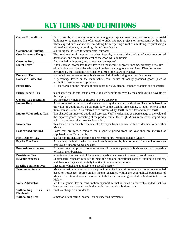# **KEY TERMS AND DEFINITIONS**

<span id="page-2-0"></span>

| <b>Capital Expenditure</b>      | Funds used by a company to acquire or upgrade physical assets such as property, industrial         |  |  |
|---------------------------------|----------------------------------------------------------------------------------------------------|--|--|
|                                 | buildings or equipment. It is often used to undertake new projects or investments by the firm.     |  |  |
|                                 | These expenditures can include everything from repairing a roof of a building, to purchasing a     |  |  |
|                                 | piece of a equipment, or building a brand new factory.                                             |  |  |
| <b>Commercial Building</b>      | a building that is used for commercial purposes                                                    |  |  |
| <b>Cost Insurance Freight</b>   | The combination of the purchase price of goods, the cost of the carriage of goods to a port of     |  |  |
|                                 | destination, and the insurance cost of the good while in transit.                                  |  |  |
| <b>Customs Duty</b>             | A tax levied on imports (and, sometimes, on exports)                                               |  |  |
| <b>Direct Taxes</b>             | A tax, such as income tax, that is levied on the income or profits income, property, or wealth     |  |  |
|                                 | of individuals or companies who pays it, rather than on goods or services. Direct taxes are        |  |  |
|                                 | governed by the Taxation Act -Chapter 41:01 of the Laws of Malawi                                  |  |  |
| <b>Domestic Tax</b>             | tax levied on companies doing business and individuals living in a specific country                |  |  |
| <b>Domestic Excise Tax</b>      | A percentage levied on the manufacture, sale, or use of locally produced goods (such as            |  |  |
|                                 | alcoholic drinks or tobacco products).                                                             |  |  |
| <b>Excise Duty</b>              | A Tax charged on the imports of certain products i.e. alcohol, tobacco products and cosmetics      |  |  |
|                                 |                                                                                                    |  |  |
| <b>Fringe Benefit Tax</b>       | tax charged on the total taxable value of such benefits enjoyed by the employee but payable by     |  |  |
|                                 | the employer                                                                                       |  |  |
| <b>General Tax Incentives</b>   | are incentives which are applicable to every tax payer                                             |  |  |
| <b>Import Duty</b>              | A tax collected on imports and some exports by the customs authorities. This tax is based on       |  |  |
|                                 | the value of goods called ad valorem duty or the weight, dimensions, or other criteria of the      |  |  |
|                                 | item such as its size. Also referred to as customs duty, tariff, import tax and import tariff      |  |  |
| <b>Import Value Added Tax</b>   | Tax charged on imported goods and services. VAT is calculated as a percentage of the value of      |  |  |
|                                 | the imported goods, consisting of the product value, the freight $\&$ insurance costs, import duty |  |  |
|                                 | paid, on certain products excise duty paid, .                                                      |  |  |
| <b>Income Tax</b>               | Tax levied on the Taxable Income of a taxpayer from a source within or deemed to be within         |  |  |
|                                 | Malawi.                                                                                            |  |  |
| <b>Loss carried forward</b>     | Loses that are carried forward for a specific period from the year they are incurred as            |  |  |
|                                 | stipulated in the Taxation Act.                                                                    |  |  |
| <b>Non-Resident Tax</b>         | tax for non residents on income of a revenue nature remitted outside Malawi                        |  |  |
| Pay As You Earn                 | A payment method in which an employer is required by law to deduct Income Tax from an              |  |  |
|                                 | employee's taxable wages or salary.                                                                |  |  |
| <b>Pre-business expenses</b>    | Expenses incurred prior to commencement of trade as a person or business entity is preparing       |  |  |
|                                 | to launch their business.                                                                          |  |  |
| <b>Provisional Tax</b>          | an estimated total amount of Income tax payable in advance in quarterly installments               |  |  |
| <b>Revenue expenses</b>         | Shorter-term expenses required to meet the ongoing operational costs of running a business,        |  |  |
|                                 | and therefore they are essentially identical to operating expenses.                                |  |  |
| <b>Specific Tax Incentives</b>  | Incentives which are applicable to a specific sector.                                              |  |  |
| <b>Taxation at Source</b>       | Malawi taxation is based on source principle while in certain other countries taxes are levied     |  |  |
|                                 | based on residence. Source entails income generated within the geographical boundaries of          |  |  |
|                                 | Malawi. Taxation at source therefore entails that all income generated in Malawi is taxed in       |  |  |
|                                 | Malawi.                                                                                            |  |  |
| <b>Value Added Tax</b>          | VAT is a general tax on consumption expenditure that is levied on the 'value added' that has       |  |  |
|                                 | been created at various stages in the production and distribution chain.                           |  |  |
| Withholding<br><b>Tax</b><br>on | final tax charged on dividends                                                                     |  |  |
| <b>Dividends</b>                |                                                                                                    |  |  |
| <b>Withholding Tax</b>          | a method of collecting Income Tax on specified payments                                            |  |  |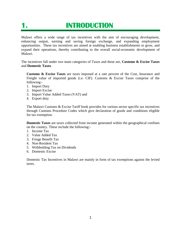# <span id="page-3-0"></span>**1. INTRODUCTION**

Malawi offers a wide range of tax incentives with the aim of encouraging development, enhancing output, earning and saving foreign exchange, and expanding employment opportunities. These tax incentives are aimed at enabling business establishments to grow, and expand their operations, thereby contributing to the overall social-economic development of Malawi.

The incentives fall under two main categories of Taxes and these are, **Customs & Excise Taxes** and **Domestic Taxes**.

**Customs & Excise Taxes** are taxes imposed at a rate percent of the Cost, Insurance and Freight value of imported goods (i.e. CIF). Customs & Excise Taxes comprise of the following:-

- 1. Import Duty
- 2. Import Excise
- 3. Import Value Added Taxes (VAT) and
- 4. Export duty

The Malawi Customs & Excise Tariff book provides for various sector specific tax incentives through Customs Procedure Codes which give declaration of goods and conditions eligible for tax exemption.

**Domestic Taxes** are taxes collected from income generated within the geographical confines on the country. These include the following:-

- 1. Income Tax
- 2. Value Added Tax
- 3. Fringe Benefit Tax
- 4. Non-Resident Tax
- 5. Withholding Tax on Dividends
- 6. Domestic Excise

Domestic Tax Incentives in Malawi are mainly in form of tax exemptions against the levied taxes.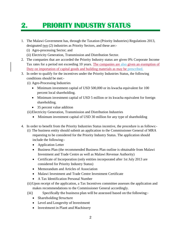# <span id="page-4-0"></span>**2. PRIORITY INDUSTRY STATUS**

- 1. The Malawi Government has, through the Taxation (Priority Industries) Regulations 2013, designated two (2) industries as Priority Sectors, and these are:-
	- (i) Agro-processing Sector; and
	- (ii) Electricity Generation, Transmission and Distribution Sector.
- 2. The companies that are accorded the Priority Industry status are given 0% Corporate Income Tax rates for a period not exceeding 10 years. The companies are also given an exemption of Duty on importation of capital goods and building materials as may be prescribed.
- 3. In order to qualify for the incentives under the Priority Industries Status, the following conditions should be met:-
	- (i) Agro-Processing Industries
		- Minimum investment capital of USD 500,000 or its kwacha equivalent for 100 percent local shareholding.
		- Minimum investment capital of USD 5 million or its kwacha equivalent for foreign shareholding.
		- 35 percent value addition
	- (ii)Electricity Generation, Transmission and Distribution Industries
		- Minimum investment capital of USD 30 million for any type of shareholding
- 4. In order to benefit from the Priority Industries Status incentive, the procedure is as follows:-
	- (i) The business entity should submit an application to the Commissioner General of MRA requesting to be considered for the Priority Industry Status. The application should include the following:-
		- Application Letter
		- Business Plan (the recommended Business Plan outline is obtainable from Malawi Investment and Trade Centre as well as Malawi Revenue Authority)
		- Certificate of Incorporation (only entities incorporated after 1st July 2013 are considered for Priority Industry Status)
		- Memorandum and Articles of Association
		- Malawi Investment and Trade Centre Investment Certificate
		- A Tax Identification Personal Number
		- (ii)Upon receipt of the application, a Tax Incentives committee assesses the application and makes recommendations to the Commissioner General accordingly.
		- (iii) Specifically the business plan will be assessed based on the following:-
			- Shareholding Structure
			- Level and Longevity of Investment
			- Investment in Plant and Machinery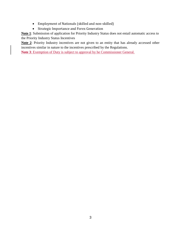- Employment of Nationals (skilled and non-skilled)
- Strategic Importance and Forex Generation

**Note 1**: Submission of application for Priority Industry Status does not entail automatic access to the Priority Industry Status Incentives

**Note 2**: Priority Industry incentives are not given to an entity that has already accessed other incentives similar in nature to the incentives prescribed by the Regulations.

**Note 3**: Exemption of Duty is subject to approval by he Commissioner General.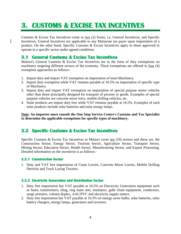# <span id="page-6-0"></span>**3. CUSTOMS & EXCISE TAX INCENTIVES**

Customs & Excise Tax Incentives come in two  $(2)$  forms, i.e. General Incentives, and Specific Incentives. General Incentives are applicable to any Malawian tax payer upon importation of a product. On the other hand, Specific Customs & Excise Incentives apply to those approved to operate in a specific sector under agreed conditions.

## <span id="page-6-1"></span>**3.1 General Customs & Excise Tax Incentives**

Malawi's General Customs & Excise Tax Incentives are in the form of duty exemptions on machinery targeting different sectors of the economy. These exemptions are offered in four (4) exemption approaches as follows:-

- 1. Import duty and import VAT exemption on importation of most Machinery.
- 2. Import duty exemption while VAT remains payable at 16.5% on importation of specific type of Machinery.
- 3. Import duty and import VAT exemption on importation of special purpose motor vehicles other than those principally designed for transport of persons or goods. Examples of special purpose vehicles are concrete mixer lorry, mobile drilling vehicles, etc.
- 4. Solar products are import duty free while VAT remains payable at 16.5%. Examples of such solar products include solar batteries and solar energy lamps.

**Note: An importer must consult the One Stop Service Centre's Customs and Tax Specialist to determine the applicable exemptions for specific types of machinery.**

## <span id="page-6-2"></span>**3.2 Specific Customs & Excise Tax Incentives**

Specific Customs & Excise Tax Incentives in Malawi cover ten (10) sectors and these are, the Construction Sector, Energy Sector, Tourism Sector, Agriculture Sector, Transport Sector, Mining Sector, Education Sector, Health Sector, Manufacturing Sector, and Export Processing. Detailed information on the incentives is as follows:-

#### <span id="page-6-3"></span>**3.2.1 Construction Sector**

1. Duty and VAT free importation of Crane Lorries, Concrete Mixer Lorries, Mobile Drilling Derricks and Track Laying Tractors.

#### <span id="page-6-4"></span>**3.2.2 Electricity Generation and Distribution Sector**

- 1. Duty free importation but VAT payable at 16.5% on Electricity Generation equipment such as fuses, transformers, sling, ring main unit, insulators, galle chain equipment, conductors, surge arrestors, column duplex, AAC/PVC and electricity supply meters.
- 2. Duty free importation but VAT payable at 16.5% on energy saver bulbs, solar batteries, solar battery chargers, energy lamps, generators and inverters.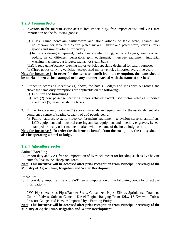#### <span id="page-7-0"></span>**3.2.3 Tourism Sector**

- 1. Investors in the tourism sector access free import duty, free import excise and VAT free importation on the following goods:-.
	- (i) Glass, China porcelain earthenware and stone articles of table ware, enamel and hollowware for table use electro plated nickel – silver and pated ware, knives, forks spoons and similar articles for cutlery.
	- (ii) Industry catering equipment, motor boats scuba diving, jet skis, kayaks, wind surfers, pedals, air conditioners, generators, gym equipment, message equipment, industrial washing machines, bar fridges, sauna, hot steam baths.
	- (iii)Off-road game/scenery viewing motor vehicles specially designed for safari purposes
	- (iv)Three goods carrying vehicles , except used motor vehicles imported every five years

#### **Note for Incentive 1: In order for the items to benefit from the exemption, the items should be marked linen etched stamped or in any manner marked with the name of the hotel**.

- 2. Further to accessing incentive (1) above, for hotels, Lodges and Inns with 50 rooms and above the same duty exemptions are applicable on the following:-
	- (i) Furniture and furnishings
	- (ii) Two (2) new passenger carrying motor vehicles except used motor vehicles imported every five (5) years i.e. shuttle buses
- 3. Further to accessing incentive (1) above, materials and equipment for the establishment of a conference centre of seating capacity of 200 people being:-
	- (i) Public address system, video conferencing equipment, television screens, amplifiers, LCD equipment and industrial catering and bar equipment and indelibly engraved, itched, stamped or in any other manner marked with the name of the hotel, lodge or inn.

**Note for Incentive 3: In order for the items to benefit from the exemption, the entity should also be operating a hotel or lodge.** 

#### <span id="page-7-1"></span>**3.2.4 Agriculture Sector**

#### **Animal Breeding**

1. Import duty and VAT free on importation of livestock meant for breeding such as live bovine animals, live swine, sheep and goats.

**Note: This incentive will be accessed after prior recognition from Principal Secretary of the Ministry of Agriculture, Irrigation and Water Development.**

#### **Irrigation**

1. Import duty, import excise and VAT free on importation of the following goods for direct use in irrigation:-

PVC Pipes, Asbestos Pipes/Rubber Seals, Galvanized Pipes, Elbow, Sprinklers, Drainers, Control Valves, Solvent Cement, Diesel Engine Ranging From 12kw-17 Kw with Tubes, Pressure Gauges and Nozzles Imported by a Farming Entity.

#### **Note: This incentive will be accessed after prior recognition from Principal Secretary of the Ministry of Agriculture, Irrigation and Water Development.**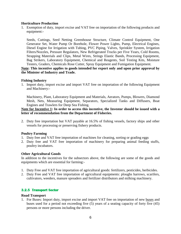#### **Horticulture Production**

1. Exemption of duty, import excise and VAT free on importation of the following products and equipment:-

Seeds, Cuttings, Seed Netting Greenhouse Structure, Climate Control Equipment, One Generator Set, Water Pump Or Borehole, Flower Power Lights, Pump, Electrical Engines, Diesel Engine for Irrigation with Tubing, PVC Piping, Valves, Sprinkler System, Irrigation Filters/Nozzles, Pressure Regulators, New Refrigerated Trucks per Five Years, Cold Rooms, Strapping Materials and Clips, Metal Wires, Strings Elastic Bands, Processing Equipment, Bag Strikers, Laboratory Equipment, Chemical and Reagents, Soil Testing Kits, Moisture Testers, Graders, Chemicals Rose Cutter, Spray Equipment and Fumigation Equipment.

**Note: This incentive applies to goods intended for export only and upon prior approval by the Minister of Industry and Trade.** 

#### **Fishing Industry**

1. Import duty, import excise and import VAT free on importation of the following Equipment and Machinery:-

Machinery, Plant, Laboratory Equipment and Materials, Aerators, Pumps, Blowers, Diamond Mesh, Nets, Measuring Equipment, Separators, Specialized Tanks and Diffusers, Boat Engines and Trawlers for Deep Sea Fishing.

**Note for Incentive 1: In order to access this incentive, the Investor should be issued with a letter of recommendation from the Department of Fisheries.** 

2. Duty free importation but VAT payable at 16.5% of fishing vessels, factory ships and other vessels for processing or preserving fishery products.

#### **Poultry Farming**

- 1. Duty free and VAT free importation of machines for cleaning, sorting or grading eggs
- 2. Duty free and VAT free importation of machinery for preparing animal feeding stuffs, poultry incubators.

#### **Other Agricultural Goods**

In addition to the incentives for the subsectors above, the following are some of the goods and equipments which are essential for farming:-

- 1. Duty Free and VAT free importation of agricultural goods: fertilizers, pesticides, herbicides.
- 2. Duty Free and VAT free importation of agricultural equipments: ploughs harrows, scarifers, cultivators, weeders, manure spreaders and fertilizer distributors and milking machinery.

#### <span id="page-8-0"></span>**3.2.5 Transport Sector**

#### **Road Transport**

1. For Buses: Import duty, import excise and import VAT free on importation of new buses and buses used for a period not exceeding five (5) years of a seating capacity of forty five (45) persons or more persons including the driver.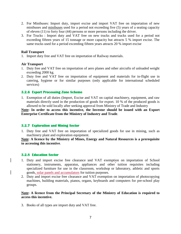- 2. For Minibuses: Import duty, import excise and import VAT free on importation of new minibuses and minibuses used for a period not exceeding five (5) years of a seating capacity of eleven (11) to forty four (44) persons or more persons including the driver.
- 3. For Trucks : Import duty and VAT free on new trucks and trucks used for a period not exceeding fifteen years of 15 tonnage or more capacity but attracts 5 % import excise. The same trucks used for a period exceeding fifteen years attracts 20 % import excise

#### **Rail Transport**

1. Import duty free and VAT free on importation of Railway materials.

#### **Air Transport**

- 1. Duty free and VAT free on importation of aero planes and other aircrafts of unloaded weight exceeding 2000 kg.
- 2. Duty free and VAT free on importation of equipment and materials for in-flight use in catering, hygiene or for similar purposes (only applicable for international scheduled services)

#### <span id="page-9-0"></span>**3.2.6 Export Processing Zone Scheme**

1. Exemption of all duties (Import, Excise and VAT on capital machinery, equipment, and raw materials directly used in the production of goods for export. 10 % of the produced goods is allowed to be sold locally after seeking approval from Ministry of Trade and Industry

**Note: In order to access this incentive, the Investor should be issued with an Export Enterprise Certificate from the Ministry of Industry and Trade**.

#### <span id="page-9-1"></span>**3.2.7 Exploration and Mining Sector**

1. Duty free and VAT free on importation of specialized goods for use in mining, such as machinery plant and exploration equipment.

**Note: A licence by the Ministry of Mines, Energy and Natural Resources is a prerequisite to accessing this incentive**.

#### <span id="page-9-2"></span>**3.2.8 Education Sector**

- 1. Duty and import excise free clearance and VAT exemption on importation of School stationery, instruments, apparatus, appliances and other tuition requisites including specialized furniture for use in the classroom, workshop or laboratory, athletic and sports goods, solar panels and accumulators for tuition purposes.
- 2. Duty and import excise free clearance and VAT exemption on importation of photocopying machines, building materials, pianos, organs, keyboards and computers for pre-school play groups.

#### **Note: A licence from the Principal Secretary of the Ministry of Education is required to access this incentive.**

3. Books of all types are import duty and VAT free.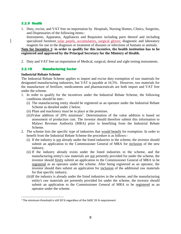#### <span id="page-10-0"></span>**3.2.9 Health**

1. Duty, excise, and VAT free on importation by Hospitals, Nursing Homes, Clinics, Surgeries, and Dispensaries of the following items:-

Instruments, Apparatus, Appliances and Requisites including parts thereof and including specialized furniture solar panels, accumulators, surgical gloves; diagnostic and laboratory reagents for use in the diagnosis or treatment of diseases or infections of humans or animals.

#### **Note for Incentive 1: in order to qualify for this incentive, the health institution has to be registered and approved by the Principal Secretary for the Ministry of Health.**

2. Duty and VAT free on importation of Medical, surgical, dental and sight testing instruments.

#### <span id="page-10-1"></span>**3.2.10 Manufacturing Sector**

#### **Industrial Rebate Scheme**

l

The Industrial Rebate Scheme applies to import and excise duty exemption of raw materials for designated manufacturing industries, but VAT is payable at 16.5%. However, raw materials for the manufacture of fertilizer, medicaments and pharmaceuticals are both import and VAT free under the scheme.

- 1. In order to qualify for the incentives under the Industrial Rebate Scheme, the following conditions should be met:-
	- (i) The manufacturing entity should be registered as an operator under the Industrial Rebate Scheme as detailed under 2 below.
	- (ii) Plant and machinery must be in place at the premises.
	- $(iii)$ Value addition of 20% minimum<sup>1</sup>. Determination of the value addition is based on assessment of production cost. The investor should therefore submit this information to Malawi Revenue Authority (MRA) prior to benefiting from the Industrial Rebate Scheme.
- 2. The scheme lists the specific type of industries that would benefit for exemption. In order to benefit from the Industrial Rebate Scheme the procedure is as follows:-
	- (i) If the industry is not already under the listed industries in the scheme, the investor should submit an application to the Commissioner General of MRA for inclusion of the new industry.
	- (ii) If the industry already exists under the listed industries in the scheme, and the manufacturing entity's raw materials are not presently provided for under the scheme, the investor should firstly submit an application to the Commissioner General of MRA to be registered as an operator under the scheme. After being registered as an operator, the investor should then submit an application for inclusion of the additional raw materials for that specific industry.
	- (iii)If the industry is already under the listed industries in the scheme, and the manufacturing entity's raw materials are presently provided for under the scheme, the investor should submit an application to the Commissioner General of MRA to be registered as an operator under the scheme.

<sup>&</sup>lt;sup>1</sup> The minimum threshold is still 20 % regardless of the SADC 35 % requirement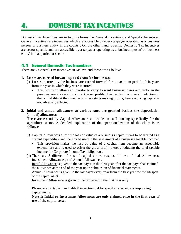# <span id="page-11-0"></span>**4. DOMESTIC TAX INCENTIVES**

Domestic Tax Incentives are in two (2) forms, i.e. General Incentives, and Specific Incentives. General incentives are incentives which are accessible by every taxpayer operating as a 'business person' or business entity' in the country. On the other hand, Specific Domestic Tax Incentives are sector specific and are accessible by a taxpayer operating as a 'business person' or 'business entity' in that particular sector.

## <span id="page-11-1"></span>**4.1 General Domestic Tax Incentives**

There are 4 General Tax Incentives in Malawi and these are as follows:-

#### **1. Losses are carried forward up to 6 years for businesses.**

- (i) Losses incurred by the business are carried forward for a maximum period of six years from the year in which they were incurred.
	- This provision allows an investor to carry forward business losses and factor in the previous years' losses into current years' profits. This results in an overall reduction of the tax liability at the time the business starts making profits, hence working capital is not adversely affected.
- **2. Initial and annual allowances at various rates are granted besides the depreciation (annual) allowances.**

These are essentially Capital Allowances allowable on staff housing specifically for the agriculture sector. A detailed explanation of the operationalization of the claim is as follows:-

- (i) Capital Allowances allow the loss of value of a business's capital items to be treated as a current expenditure and thereby be used in the assessment of a business's taxable income**<sup>i</sup>** .
	- This provision makes the loss of value of a capital item become an acceptable expenditure and is used to offset the gross profit, thereby reducing the total taxable income for Corporate Income Tax obligations.
- (ii) There are 3 different forms of capital allowances, as follows:- Initial Allowances, Investment Allowances, and Annual Allowances.

Initial Allowance is given to the tax payer in the first year after the tax payer has claimed the allowance at the end of the year upon submission of financial statements.

Annual Allowance is given to the tax payer every year from the first year for the lifespan of the capital asset.

Investment Allowance is given to the tax payer in the first year only.

Please refer to table 7 and table 8 in section 3.4 for specific rates and corresponding capital items.

**Note 1: Initial or Investment Allowances are only claimed once in the first year of use of the capital asset.**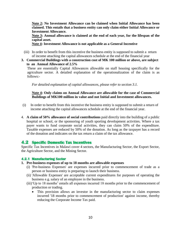**Note 2: No Investment Allowance can be claimed when Initial Allowance has been claimed. This entails that a business entity can only claim either Initial Allowance or Investment Allowance.**

**Note 3: Annual allowance is claimed at the end of each year, for the lifespan of the capital asset.** 

**Note 4: Investment Allowance is not applicable as a General Incentive**

- (iii) In order to benefit from this incentive the business entity is supposed to submit a return of income attaching the capital allowances schedule at the end of the financial year
- **3. Commercial Buildings with a construction cost of MK 100 million or above, are subject to an Annual Allowance of 2.5%**

These are essentially Capital Allowances allowable on staff housing specifically for the agriculture sector. A detailed explanation of the operationalization of the claim is as follows:-

*For detailed explanation of capital allowances, please refer to section 3.1.*

#### **Note 4: Only claims on Annual Allowance are allowable for the case of Commercial Buildings of MK100 million in value and not Initial and Investment allowances.**

- (i) In order to benefit from this incentive the business entity is supposed to submit a return of income attaching the capital allowances schedule at the end of the financial year.
- 4. **A claim of 50% allowance of social contributions** paid directly into the building of a public hospital or school, or the sponsoring of youth sporting development activities. Where a tax payer wants to fund corporate social activities, they can claim 50% of the expenditure. Taxable expenses are reduced by 50% of the donation. As long as the taxpayer has a record of the donation and indicates on the tax return a claim of the tax allowance.

## <span id="page-12-0"></span>**4.2 Specific Domestic Tax Incentives**

Specific Tax Incentives in Malawi cover 4 sectors, the Manufacturing Sector, the Export Sector, the Agriculture Sector, and the Mining Sector.

#### <span id="page-12-1"></span>**4.2.1 Manufacturing Sector**

#### **1. Pre-business expenses of up to 18 months are allowable expenses**

- (i) 'Pre-business Expenses' are expenses incurred prior to commencement of trade as a person or business entity is preparing to launch their business.
- (ii) 'Allowable Expenses' are acceptable current expenditures for purposes of operating the business e.g. salary of an employee in the business.
- (iii)'Up to 18 months' entails all expenses incurred 18 months prior to the commencement of production or trading.
	- This provision allows an investor in the manufacturing sector to claim expenses incurred '18 months prior to commencement of production' against income, thereby reducing the Corporate Income Tax paid.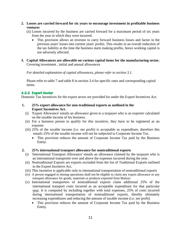- **2. Losses are carried forward for six years to encourage investment in profitable business ventures**
	- (ii) Losses incurred by the business are carried forward for a maximum period of six years from the year in which they were incurred.
		- This provision allows an investor to carry forward business losses and factor in the previous years' losses into current years' profits. This results in an overall reduction of the tax liability at the time the business starts making profits, hence working capital is not adversely affected.
- **3. Capital Allowances are allowable on various capital items for the manufacturing sector.**  Covering investment , initial and annual allowances

*For detailed explanation of capital allowances, please refer to section 3.1.*

Please refer to table 7 and table 8 in section 3.4 for specific rates and corresponding capital items.

#### <span id="page-13-0"></span>**4.2.2 Export Sector**

Domestic Tax Incentives for the export sector are provided for under the Export Incentives Act.

- **1. 25% export allowance for non-traditional exports as outlined in the Export Incentives Act.** 
	- (i) 'Export Allowance' entails an allowance given to a taxpayer who is an exporter calculated on the taxable income of his business.
	- (ii) For a business person to qualify for this incentive, they have to be registered as an exporter
	- (iii) 25% of the taxable income (i.e. net profit) is acceptable as expenditure, therefore this entails 25% of the taxable income will not be subjected to Corporate Income Tax.
		- This provision reduces the amount of Corporate Income Tax paid by the Business Entity.

#### **2. 25% international transport allowance for nontraditional exports**

- (i) 'International Transport Allowance' entails an allowance claimed by the taxpayer who is an international transporter over and above the expenses incurred during the year.
- (ii) Nontraditional Exports are exports excluded from the list of Traditional Exports outlined in the Export Incentive Act.
- (iii) This incentive is applicable only to international transportation of nontraditional exports
- (iv) A person engaged in mining operations shall not be eligible to claim any export allowance or any transport allowance for goods, materials or products exported from Malawi
- (v) International transporters of nontraditional exports claim additional 25% of the international transport costs incurred as an acceptable expenditure for that particular year. It is computed by including together with total expenses, 25% of costs incurred during international transportation of nontraditional exports, thereby ultimately increasing expenditures and reducing the amount of taxable income (i.e. net profit)
	- This provision reduces the amount of Corporate Income Tax paid by the Business Entity.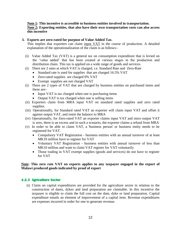#### **Note 1: This incentive is accessible to business entities involved in transportation. Note 2: Exporting entities, that also have their own transportation costs can also access this incentive**

#### **3. Exports are zero-rated for purpose of Value Added Tax**.

This implies that exporters can claim input VAT in the course of production. A detailed explanation of the operationalization of the claim is as follows:-

- (i) Value Added Tax (VAT) is a general tax on consumption expenditure that is levied on the 'value added' that has been created at various stages in the production and distribution chain. This tax is applied on a wide range of goods and services.
- (i) There are 2 rates at which VAT is charged, i.e. Standard Rate and Zero-Rate
	- Standard rate is used for supplies that are charged 16.5% VAT
	- Zero-rated supplies are charged 0% VAT
	- Exempt supplies are not charged VAT
- (i) There are 2 types of VAT that are charged by business entities on purchased items and these are:-
	- Input VAT is tax charged when one is purchasing items
	- Output VAT is tax charged when one is selling items
- (ii) Exporters claim from MRA input VAT on standard rated supplies and zero rated supplies.
- (iii) Operationally, for Standard rated VAT an exporter will claim input VAT and offset it against output VAT, and remit the balance to MRA
- (iv) Operationally, for Zero-rated VAT an exporter claims input VAT and since output VAT is zero, there is an excess and in such a scenario, the exporter claims a refund from MRA
- (v) In order to be able to claim VAT, a 'business person' or business entity needs to be registered for VAT.
	- Compulsory VAT Registration business entities with an annual turnover of at least MK10 million have to register for VAT
	- Voluntary VAT Registration business entities with annual turnover of less than MK10 million and want to claim VAT register for VAT voluntarily
	- Those trading in VAT exempt supplies (goods and services) do not have to register for VAT

#### **Note: This zero rate VAT on exports applies to any taxpayer engaged in the export of Malawi produced goods indicated by proof of export**

#### <span id="page-14-0"></span>**4.2.3 Agriculture Sector**

(i) Claim on capital expenditures are provided for the agriculture sector in relation to the construction of dams, dykes and land preparation are claimable. In this incentive the taxpayer is eligible to claim the full cost on the dam, dyke or land preparation. Capital expenditure entails an element of improvement of a capital item. Revenue expenditures are expenses incurred in order for one to generate revenue.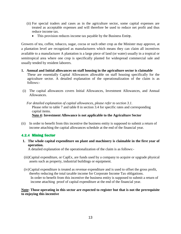- (ii) For special traders and cases as in the agriculture sector, some capital expenses are treated as acceptable expenses and will therefore be used to reduce net profit and thus reduce income tax.
	- This provision reduces income tax payable by the Business Entit**y**.

Growers of tea, coffee, tobacco, sugar, cocoa or such other crop as the Minister may approve, at a plantation level are recognized as manufacturers which means they can claim all incentives available to a manufacturer A plantation is a large piece of land (or water) usually in a tropical or semitropical area where one crop is specifically planted for widespread commercial sale and usually tended by resident laborers.

- **1. Annual and Initial allowances on staff housing in the agriculture sector is claimable** These are essentially Capital Allowances allowable on staff housing specifically for the agriculture sector. A detailed explanation of the operationalization of the claim is as follows:-
- (i) The capital allowances covers Initial Allowances, Investment Allowances, and Annual Allowances.

*For detailed explanation of capital allowances, please refer to section 3.1.* Please refer to table 7 and table 8 in section 3.4 for specific rates and corresponding capital items.

#### **Note 4: Investment Allowance is not applicable to the Agriculture Sector**

(ii) In order to benefit from this incentive the business entity is supposed to submit a return of income attaching the capital allowances schedule at the end of the financial year.

### <span id="page-15-0"></span>**4.2.4 Mining Sector**

**1. The whole capital expenditure on plant and machinery is claimable in the first year of operation.**

A detailed explanation of the operationalization of the claim is as follows:-

- (iii)Capital expenditure, or CapEx, are funds used by a company to acquire or upgrade physical assets such as property, industrial buildings or equipment.
- (iv)Capital expenditure is treated as revenue expenditure and is used to offset the gross profit, thereby reducing the total taxable income for Corporate Income Tax obligations. In order to benefit from this incentive the business entity is supposed to submit a return of income attaching proof of capital expenditure at the end of the financial year.

#### **Note: Those operating in this sector are expected to register but that is not the prerequisite to enjoying this incentive**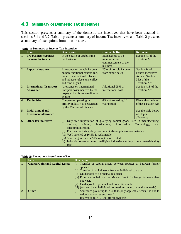## <span id="page-16-0"></span>**4.3 Summary of Domestic Tax Incentives**

This section presents a summary of the domestic tax incentives that have been detailed in sections 3.1 and 3.2. Table 1 presents a summary of Income Tax Incentives, and Table 2 presents a summary of exemptions from income taxes.

|              | $\sim$ 1. Summary or meemer rax meemives          |                                                                                      |                                            |                                           |  |  |
|--------------|---------------------------------------------------|--------------------------------------------------------------------------------------|--------------------------------------------|-------------------------------------------|--|--|
|              | <b>Item</b>                                       | <b>Description</b>                                                                   | <b>Claimable Rate</b>                      | <b>Reference</b>                          |  |  |
| 1.           | <b>Pre-business expenses</b><br>for manufacturers | In the course of establishing<br>the business                                        | Expenses up to 18<br>months before         | Section 41 of the<br><b>Taxation Act</b>  |  |  |
|              |                                                   |                                                                                      | commencement of the<br>business            |                                           |  |  |
| 2.           | <b>Export allowance</b>                           | Allowance on taxable income<br>on non-traditional exports (i.e.                      | 25% of taxable income<br>from export sales | Section 14 of<br><b>Export Incentives</b> |  |  |
|              |                                                   | not un manufactured tobacco                                                          |                                            | <b>Act and Section</b>                    |  |  |
|              |                                                   | and tobacco refuse, tea, coffee                                                      |                                            | 36A of the                                |  |  |
|              |                                                   | and cane sugar)                                                                      |                                            | <b>Taxation Act</b>                       |  |  |
| 3.           | <b>International Transport</b>                    | Allowance on international                                                           | Additional 25% of                          | Section 41B of the                        |  |  |
|              | <b>Allowance</b>                                  | transport costs incurred by the                                                      | international cost                         | <b>Taxation Act</b>                       |  |  |
|              |                                                   | taxpayer for his non-traditional                                                     |                                            |                                           |  |  |
|              |                                                   | exports                                                                              |                                            |                                           |  |  |
| $\mathbf{4}$ | <b>Tax holiday</b>                                | Companies operating in                                                               | 0% not exceeding 10                        | Eleventh schedule                         |  |  |
|              |                                                   | priority industry so designated                                                      | year period                                | of the Taxation Act                       |  |  |
|              |                                                   | by the Minister of Finance                                                           |                                            |                                           |  |  |
| 5.           | <b>Initial annual and</b>                         |                                                                                      |                                            | See the table below                       |  |  |
|              | <b>Investment allowance</b>                       |                                                                                      |                                            | on Capital<br>allowance                   |  |  |
| 6.           | <b>Other tax incentives</b>                       | Duty free importation of qualifying capital goods used in manufacturing,<br>(i)      |                                            |                                           |  |  |
|              |                                                   | information<br>mining,<br>horticulture,<br>Technology,<br>tourism.<br>and            |                                            |                                           |  |  |
|              |                                                   | telecommunication                                                                    |                                            |                                           |  |  |
|              |                                                   | (ii) For manufacturing, duty free benefit also applies to raw materials              |                                            |                                           |  |  |
|              |                                                   | (iii) VAT levelled at 16.5% is reclaimable                                           |                                            |                                           |  |  |
|              |                                                   | (iv) Specific goods are VAT exempt or zero rated                                     |                                            |                                           |  |  |
|              |                                                   | Industrial rebate scheme: qualifying industries can import raw materials duty<br>(v) |                                            |                                           |  |  |
|              |                                                   | free                                                                                 |                                            |                                           |  |  |

<span id="page-16-1"></span>

|  | <b>Table 1: Summary of Income Tax Incentives</b> |  |  |
|--|--------------------------------------------------|--|--|
|  |                                                  |  |  |

#### <span id="page-16-2"></span>**Table 2: Exemptions from Income Tax**

|    | <b>Item</b>                             | <b>Description</b>                                                       |  |  |  |
|----|-----------------------------------------|--------------------------------------------------------------------------|--|--|--|
|    | <b>Capital Gains and Capital Losses</b> | Transfer of capital assets between spouses or between former<br>(i)      |  |  |  |
|    |                                         | spouses                                                                  |  |  |  |
|    |                                         | (ii) Transfer of capital assets from an individual to a trust            |  |  |  |
|    |                                         | (iii) On disposal of a principal residence                               |  |  |  |
|    |                                         | (iv) From shares held on the Malawi Stock Exchange for more than         |  |  |  |
|    |                                         | one year.                                                                |  |  |  |
|    |                                         | (v) On disposal of personal and domestic assets.                         |  |  |  |
|    |                                         | (vi) (realised by an individual not used in connection with any trade)   |  |  |  |
| 2. | <b>Other</b>                            | Severance pay of up to K50,000 (only applicable when it is due to<br>(i) |  |  |  |
|    |                                         | redundancy or retrenchment)                                              |  |  |  |
|    |                                         | Interest up to K10, 000 (for individuals)                                |  |  |  |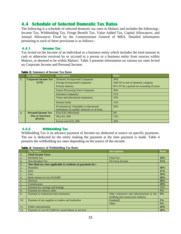## <span id="page-17-0"></span>**4.4 Schedule of Selected Domestic Tax Rates**

The following is a schedule of selected domestic tax rates in Malawi and includes the following:- Income Tax, Withholding Tax, Fringe Benefit Tax, Value Added Tax, Capital Allowances, and Annual Allowances Fixed by the Commissioner General of MRA. Detailed information pertaining to each of these provisions is as follows:-

#### <span id="page-17-1"></span>**4.4.1 Income Tax**

Tax levied on the Income of an individual or a business entity which includes the total amount in cash or otherwise received by or accrued to a person or a business entity from sources within Malawi, or deemed to be within Malawi. Table 3 presents information on various tax rates levied on Corporate Income and Personal Income.

|    | <b>Tax Source</b>           | <b>Descriptions</b>                                                                          | <b>Rates</b>                               |
|----|-----------------------------|----------------------------------------------------------------------------------------------|--------------------------------------------|
| 1. | <b>Corporate Income Tax</b> | <b>Domestic Incorporated Companies</b>                                                       | 30%                                        |
|    | (CIT)                       | <b>Foreign Incorporated Companies</b>                                                        | Add 5% to rate of domestic company         |
|    |                             | Priority industry                                                                            | 0% CIT for a period not exceeding 10 years |
|    |                             | <b>Export Processing Zone Companies</b>                                                      | 30%                                        |
|    |                             | Insurance companies                                                                          | 21%                                        |
|    |                             | Trusts and educational institutions                                                          | 25%                                        |
|    |                             | Pension funds                                                                                | 15%                                        |
|    |                             | Ecclesiastical, Charitable or educational<br>institutions of a public character or of trusts | 30%                                        |
| 2. | <b>Personal Income Tax</b>  | First K20, 000/month                                                                         | $0\%$                                      |
|    | - Pay as You Earn<br>(PAYE) | <b>Next K5,000</b>                                                                           | 15%                                        |
|    |                             | Excess over K25, 000                                                                         | 30%                                        |

#### <span id="page-17-3"></span>**Table 3: Summary of Income Tax Rates**

#### <span id="page-17-2"></span>**4.4.2 Withholding Tax**

Withholding Tax is an advance payment of Income tax deducted at source on specific payments. The tax is deducted by the entity making the payment at the time payment is made. Table 4 presents the withholding tax rates depending on the source of the income.

<span id="page-17-4"></span>

| <b>Table 4: Summary of Withholding Tax Rates</b> |  |  |  |
|--------------------------------------------------|--|--|--|
|--------------------------------------------------|--|--|--|

|                | <b>Tax Source</b>                                             | <b>Descriptions</b>                        | <b>Rates</b> |
|----------------|---------------------------------------------------------------|--------------------------------------------|--------------|
| $\mathbf{1}$ . | <b>Final Income Taxes</b>                                     |                                            |              |
| a.             | Dividend Tax                                                  | <b>Final Tax</b>                           | 10%          |
| $b$            | Non Resident Tax                                              | On Gross Income                            | 15%          |
| 2.             | Non-final tax rates applicable to residents on payments for:- |                                            |              |
| a.             | Royalties                                                     |                                            | 20%          |
| $b$            | Rent                                                          |                                            | 15%          |
| c.             | Fees                                                          |                                            | 10%          |
| d.             | Bank interest of over K10,000                                 |                                            | 20%          |
| e.             | <b>Services</b>                                               |                                            | 20%          |
| f.             | Commissions                                                   |                                            | 20%          |
| 7.             | Payment for carriage and haulage                              |                                            | 10%          |
| 8.             | Payment for tobacco sales                                     |                                            | 3%           |
| 9.             | Payment to contractors/sub-contractors                        | Only contractors and subcontractors in the | 4%           |
|                |                                                               | building and construction industry         |              |
| 10.            | Payment of any supplies to traders and institution            | Foodstuff                                  | 3%           |
|                |                                                               | Other                                      | 3%           |
| 11.            | Public entertainment                                          |                                            | 20%          |
| 12.            | Payment of over K15,000 for casual labour or services         |                                            | 20%          |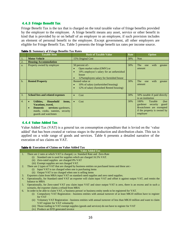#### <span id="page-18-0"></span>**4.4.3 Fringe Benefit Tax**

Fringe Benefit Tax is the tax that is charged on the total taxable value of fringe benefits provided by the employer to the employee. A fringe benefit means any asset, service or other benefit in kind that is provided by or on behalf of an employer to an employee, if such provision includes an element of personal benefit to the employee. Except government, all other employers are eligible for Fringe Benefit Tax. Table 5 presents the fringe benefit tax rates per income source.

|                  | <b>Taxable Item</b>                                                                                                                                                 | <b>Basis of Taxable Value</b>                                                                                                                                            | Rate | <b>Option</b>                                                                                                                  |
|------------------|---------------------------------------------------------------------------------------------------------------------------------------------------------------------|--------------------------------------------------------------------------------------------------------------------------------------------------------------------------|------|--------------------------------------------------------------------------------------------------------------------------------|
| 1.               | <b>Motor Vehicle</b>                                                                                                                                                | 15% Original Cost                                                                                                                                                        | 30%  | <b>Non</b>                                                                                                                     |
| 2.               | <b>Housing Accommodation</b>                                                                                                                                        |                                                                                                                                                                          |      |                                                                                                                                |
| a.               | Property owned by employer                                                                                                                                          | 50 percent of:-<br>Open market value (OMV) or<br>10% employee's salary for an unfurnished<br>$\bullet$<br>house<br>12% employees salary for furnished house<br>$\bullet$ | 30%  | with<br><b>The</b><br>greater<br>one<br>amount                                                                                 |
| $\mathbf{b}$ .   | <b>Rented Property</b>                                                                                                                                              | Rented value or<br>10% of salary (unfurnished housing)<br>12% of salary (furnished Rented housing)<br>$\bullet$                                                          | 30%  | with<br>The<br>one<br>greater<br>amount                                                                                        |
| 3.               | <b>School fees and related expenses</b>                                                                                                                             | Cost<br>$\bullet$                                                                                                                                                        | 30%  | 50% taxable if paid directly<br>to an institution                                                                              |
| $\overline{4}$ . | Utilities,<br>Household<br>items,<br><b>Vacations, travel,</b><br><b>Domestic</b><br>services:-gardeners,<br>maids, cooks, nannies, security<br>guards and watchmen | Cost<br>$\bullet$                                                                                                                                                        | 30%  | 100%<br>Taxable<br>(but)<br>gardener<br>security<br>guard<br>&watchmen are exempted<br>if the property is owned by<br>employer |

#### <span id="page-18-2"></span>**Table 5: Summary of Fringe Benefits Tax Rates**

#### <span id="page-18-1"></span>**4.4.4 Value Added Tax**

Value Added Tax (VAT) is a general tax on consumption expenditure that is levied on the 'value added' that has been created at various stages in the production and distribution chain. This tax is applied on a wide range of goods and services. Table 6 presents a detailed narrative of the execution of tax claims on VAT.

#### <span id="page-18-3"></span>**Table 6: Execution of Claims on Value Added Tax**

#### **Value Added Tax**

- 1. There are 2 rates at which VAT is charged, i.e. Standard Rate and Zero-Rate
	- (i) Standard rate is used for supplies which are charged 16.5% VAT.
	- (ii) Zero-rated supplies are charged 0% VAT
	- (iii) Exempt supplies are not charged VAT.
- 2. There are 2 types of VAT that are charged by business entities on purchased items and these are:-
	- (i) Input VAT is tax charged when one is purchasing items
	- (ii) Output VAT is tax charged when one is selling items
- 3. Exporters claim from MRA input VAT on standard rated supplies and zero rated supplies.
- 4. Operationally, for Standard rated VAT an exporter will claim input VAT and offset it against output VAT, and remits the balance to MRA
- 5. Operationally, for Zero-rated VAT you claim input VAT and since output VAT is zero, there is an excess and in such a scenario, the exporter claims a refund from MRA
- 6. In order to be able to claim VAT, a 'business person' or business entity needs to be registered for VAT.
	- (i) Compulsory VAT Registration business entities with annual turnover of at least MK10 million have to register for VAT
	- (ii) Voluntary VAT Registration business entities with annual turnover of less than MK10 million and want to claim VAT register for VAT voluntarily
	- (iii) Those trading in VAT exempt supplies (goods and services) do not have to register for VAT
	- (iv) Produce an EFD generated invoice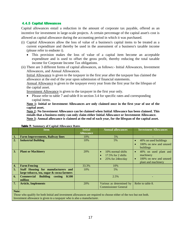#### <span id="page-19-0"></span>**4.4.5 Capital Allowances**

Capital allowances entail a reduction in the amount of corporate tax payable, offered as an incentive for investment in large-scale projects. A certain percentage of the capital asset's cost is allowed as capital allowance during the accounting period in which it was purchased.

- (i) Capital Allowances allow the loss of value of a business's capital items to be treated as a current expenditure and thereby be used in the assessment of a business's taxable income (please refer to endnote i).
	- This provision makes the loss of value of a capital item become an acceptable expenditure and is used to offset the gross profit, thereby reducing the total taxable income for Corporate Income Tax obligations.
- (ii) There are 3 different forms of capital allowances, as follows:- Initial Allowances, Investment Allowances, and Annual Allowances.

Initial Allowance is given to the taxpayer in the first year after the taxpayer has claimed the allowance at the end of the year upon submission of financial statements.

Annual Allowance is given to the taxpayer every year from the first year for the lifespan of the capital asset.

Investment Allowance is given to the taxpayer in the first year only.

• Please refer to table 7 and table 8 in section 3.4 for specific rates and corresponding capital items.

**Note 1: Initial or Investment Allowances are only claimed once in the first year of use of the capital asset.** 

**Note 2: No Investment Allowance can be claimed when Initial Allowance has been claimed. This entails that a business entity can only claim either Initial Allowance or Investment Allowance. Note 3: Annual allowance is claimed at the end of each year, for the lifespan of the capital asset.** 

|    | Item                                                                             | <b>Initial</b><br><b>Allowance</b> | <b>Annual allowances</b>                                                                  | <b>Investment Allowances</b>                                                                     |  |
|----|----------------------------------------------------------------------------------|------------------------------------|-------------------------------------------------------------------------------------------|--------------------------------------------------------------------------------------------------|--|
| 1. | <b>Farm Improvements, Railway lines</b>                                          | 10%                                | 5%                                                                                        |                                                                                                  |  |
| 2. | <b>Industrial Building</b>                                                       | 10%                                | 5%                                                                                        | 40% on used buildings<br>100% on new and unused<br>buildings                                     |  |
| 3. | <b>Plant or Machinery</b>                                                        | 20%                                | 10% normal shifts<br>$\bullet$<br>$17.5\%$ for 2 shifts<br>25% for 24hrs/day<br>$\bullet$ | 40% on used plant and<br>$\bullet$<br>machinery<br>100% on new and unused<br>plant and machinery |  |
| 4. | <b>Farm Fencing</b>                                                              | 33.3%                              | 10%                                                                                       |                                                                                                  |  |
| 5. | Staff Housing for manufacturers and<br>large tobacco, tea, sugar & cocoa farmers | 10%                                | 5%                                                                                        |                                                                                                  |  |
| 6. | <b>Commercial Building costing</b><br><b>K100</b><br>million                     |                                    | 2.5%                                                                                      |                                                                                                  |  |
| 7. | <b>Article, Implements</b>                                                       | 20%                                | Various as determined by<br><b>Commissioner General</b>                                   | Refer to table 8.                                                                                |  |
|    | Note:                                                                            |                                    |                                                                                           |                                                                                                  |  |

<span id="page-19-1"></span>**Table 7: Summary of Capital Allowance Rates**

Those who qualify for both Initial and investment allowances are required to choose either of the two but not both. Investment allowance is given to a taxpayer who is also a manufacturer.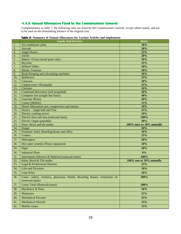### <span id="page-20-0"></span>**4.4.6 Annual Allowances Fixed by the Commissioner General**

Complementary to table 7, the following rates are fixed by the Commissioner General, except where stated, and are to be used on the diminishing balance of the original cost.

|     | <b>Facture <math>\sigma</math>.</b> Summary of Annual Anowalices for yarlous Articles and implements |                           |
|-----|------------------------------------------------------------------------------------------------------|---------------------------|
|     | <b>Goods And Services</b>                                                                            | <b>Rates</b>              |
| 1.  | Air conditioner plant                                                                                | 10%                       |
| 2.  | Aircraft                                                                                             | 20%                       |
| 3.  | <b>Angle Dozers</b>                                                                                  | 25%                       |
| 4.  | Anvils                                                                                               | 20%                       |
| 5.  | Bakers' Ovens (metal parts only)                                                                     | 10%                       |
| 6.  | <b>Bicycles</b>                                                                                      | 25%                       |
| 7.  | <b>Billiard Tables</b>                                                                               | 10%                       |
| 8.  | <b>Blinds</b> , Venetian                                                                             | 10%                       |
| 9.  | Book-Keeping and calculating machines                                                                | 10%                       |
| 10. | <b>Bulldozers</b>                                                                                    | 25%                       |
| 11. | Caravans                                                                                             | 20%                       |
| 12. | Carpets (over 100 pound)                                                                             | 25%                       |
| 13. | Clarinets                                                                                            | 10%                       |
| 14. | Combined Harvesters (self propelled)                                                                 | 20%                       |
| 15. | Computer (on straight line basis)                                                                    | 40%                       |
| 16. | <b>Concrete Mixers</b>                                                                               | 20%                       |
| 17. | Cranes (Mobile)                                                                                      | 15%                       |
| 18. | Diesel Alternation sets, compressors and motors                                                      | 10%                       |
| 19. | Dozers - Angle bull and Tree                                                                         | 25%                       |
| 20. | Electric cooking stoves                                                                              | 10%                       |
| 21. | Electric fires and fans (renewals basis)                                                             | 100%                      |
| 22. | Electric Organ (portable)                                                                            | 20%                       |
| 23. | Flues: Brick and tile maker                                                                          | 100% once or 10% annually |
| 24. | Forges                                                                                               | 20%                       |
| 25. | Furniture: hotel, Boarding house and office                                                          | 10%                       |
| 26. | Craders                                                                                              | 25%                       |
| 27. | Helicopters                                                                                          | 20%                       |
| 28. | Hot water systems (Flats): equipment                                                                 | 10%                       |
| 29. | Pipes                                                                                                | 10%                       |
| 30. | <b>Industrial Plant</b>                                                                              | $0\%$                     |
| 31. | Instruments (Doctors & Dentists) (renewals basis)                                                    | 100%                      |
| 32. | Kilos: Brick & Tile maker                                                                            | 100% one or 10% annually  |
| 33. | Legal & Professional libraries                                                                       | 25%                       |
| 34. | <b>Lifts and Elevators</b>                                                                           | 10%                       |
| 35. | Lime Kilos                                                                                           | 10%                       |
| 36. | Linen, cutlery, crockery, glassware, Hotels, Boarding houses, restaurants etc<br>(renewals basis)    | 100%                      |
| 37. | Loose Tools (Renewals basis)                                                                         | 100%                      |
| 38. | Machinery & Plant                                                                                    | 10%                       |
| 39. | <b>Mattresses</b>                                                                                    | 25%                       |
| 40. | <b>Mechanical Elevator</b>                                                                           | 25%                       |
| 41. | <b>Mechanical Shovels</b>                                                                            | 25%                       |
| 42. | Mobile cranes                                                                                        | 15%                       |

#### <span id="page-20-1"></span>**Table 8: Summary of Annual Allowances for Various Articles and Implements**